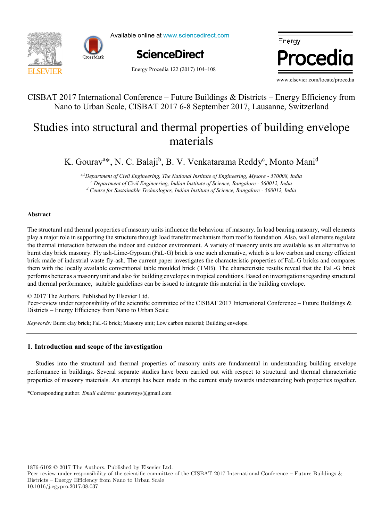



Available online at www.sciencedirect.com



Energy Procedia 122 (2017) 104-108



www.elsevier.com/locate/procedia

## CISBAT 2017 International Conference – Future Buildings & Districts – Energy Efficiency from CISBAT 2017 International Conference – Future Buildings & Districts – Energy Efficiency from Nano to Urban Scale, CISBAT 2017 6-8 September 2017, Lausanne, Switzerland Nano to Urban Scale, CISBAT 2017 6-8 September 2017, Lausanne, Switzerland

## Studies into structural and thermal properties of building envelope  $\frac{1}{2}$  assessed the feat demand-outdoor  $\frac{1}{2}$ materials materials

K. Gourav<sup>a\*</sup>, N. C. Balaji<sup>b</sup>, B. V. Venkatarama Reddy<sup>c</sup>, Monto Mani<sup>d</sup>

I. Andrić Department of Civil Engineering, The National Institute of Engineering, Mysore - 5/0008, Inc.<br>Pepartment of Civil Engineering, Indian Institute of Science, Bangalore - 560012, India 08, India<br>ndia *a,bDepartment of Civil Engineering, The National Institute of Engineering, Mysore - 570008, India* a,b Department of Civil Engineering, The National Institute of Engineering, Mysore - 570008, India *<sup>d</sup> Centre for Sustainable Technologies, Indian Institute of Science, Bangalore - 560012, India*

*IN+ Center for Innovation, Technology and Policy Research - Instituto Superior Técnico, Av. Rovisco Pais 1, 1049-001 Lisbon, Portugal Veolia Recherche & Innovation, 291 Avenue Dreyfous Daniel, 78520 Limay, France*

### **Abstract Abstract**

play a major role in supporting the structure through load transfer mechanism from roof to foundation. Also, wall elements regulate burnt clay brick masonry. Fly ash-Lime-Gypsum (FaL-G) brick is one such alternative, which is a low carbon and energy efficient brick made of industrial waste fly-ash. The current paper investigates the characteristic properties of FaL-G bricks and compares brick made of industrial waste fly-ash. The current paper investigates the characteristic pr them with the locally available conventional table moulded brick (TMB). The characteristic results reveal that the FaL-G brick performs better as a masonry unit and also for building envelopes in tropical conditions. Based on investigations regarding structural and thermal performance, suitable guidelines can be issued to integrate this material in the building envelope. The structural and thermal properties of masonry units influence the behaviour of masonry. In load bearing masonry, wall elements they a major fore in supporting the structure unough load transfer incentation from foot to foundation. Also, wan elements regulate the thermal interaction between the indoor and outdoor environment. A variety of masonry units are available as an alternative to

© 2017 The Authors. Published by Elsevier Ltd.

Peer-review under responsibility of the scientific committee of the CISBAT 2017 International Conference – Future Buildings & Districts – Energy Efficiency from Nano to Urban Scale compared with results from a dynamic heat demand model, previously developed and validated by the authors.

(the error in annual demand was lower than 20% for all weather scenarios considered). However, after introducing renovation

Keywords: Burnt clay brick; FaL-G brick; Masonry unit; Low carbon material; Building envelope.

# 1. Introduction and scope of the investigation

Studies into the structural and thermal properties of masonry units are fundamental in understanding building envelope performance in buildings. Several separate studies have been carried out with respect to structural and thermal characteristic properties of masonry materials. An attempt has been made in the current study towards understanding both properties together. properties of masonry materials. An attempt has been made in the current study towards understanding both properties together.

© 2017 The Authors. Published by Elsevier Ltd. \*Corresponding author. *Email address:* gouravmys@gmail.com \*Corresponding author. *Email address:* gouravmys@gmail.com

 $1876-6102 \odot 2017$  The Authors. Published by Elsevier Ltd.

Peer-review under responsibility of the scientific committee of the CISBAT 2017 International Conference – Future Buildings & Districts – Energy Efficiency from Nano to Urban Scale 10.1016/j.egypro.2017.08.037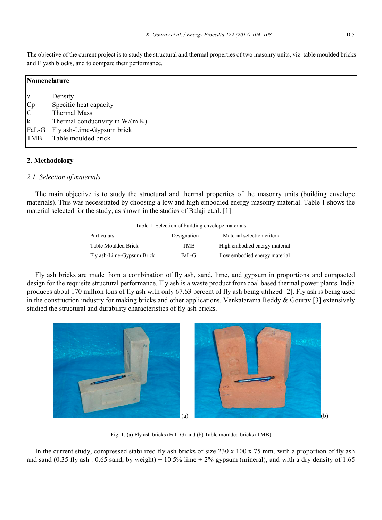The objective of the current project is to study the structural and thermal properties of two masonry units, viz. table moulded bricks and Flyash blocks, and to compare their performance.

| Nomenclature                                               |                                                                                                                                                         |  |
|------------------------------------------------------------|---------------------------------------------------------------------------------------------------------------------------------------------------------|--|
| $\gamma$<br>Cp<br>$\mathbf C$<br>$\mathbf k$<br><b>TMB</b> | Density<br>Specific heat capacity<br><b>Thermal Mass</b><br>Thermal conductivity in $W/(m K)$<br>FaL-G Fly ash-Lime-Gypsum brick<br>Table moulded brick |  |

#### **2. Methodology**

### *2.1. Selection of materials*

The main objective is to study the structural and thermal properties of the masonry units (building envelope materials). This was necessitated by choosing a low and high embodied energy masonry material. Table 1 shows the material selected for the study, as shown in the studies of Balaji et.al. [1].

|  |  | Table 1. Selection of building envelope materials |  |  |
|--|--|---------------------------------------------------|--|--|
|--|--|---------------------------------------------------|--|--|

| Particulars               | Designation | Material selection criteria   |
|---------------------------|-------------|-------------------------------|
| Table Moulded Brick       | TMR         | High embodied energy material |
| Fly ash-Lime-Gypsum Brick | FaL-G       | Low embodied energy material  |

Fly ash bricks are made from a combination of fly ash, sand, lime, and gypsum in proportions and compacted design for the requisite structural performance. Fly ash is a waste product from coal based thermal power plants. India produces about 170 million tons of fly ash with only 67.63 percent of fly ash being utilized [2]. Fly ash is being used in the construction industry for making bricks and other applications. Venkatarama Reddy  $\&$  Gourav [3] extensively studied the structural and durability characteristics of fly ash bricks.



Fig. 1. (a) Fly ash bricks (FaL-G) and (b) Table moulded bricks (TMB)

In the current study, compressed stabilized fly ash bricks of size  $230 \times 100 \times 75$  mm, with a proportion of fly ash and sand (0.35 fly ash : 0.65 sand, by weight) + 10.5% lime + 2% gypsum (mineral), and with a dry density of 1.65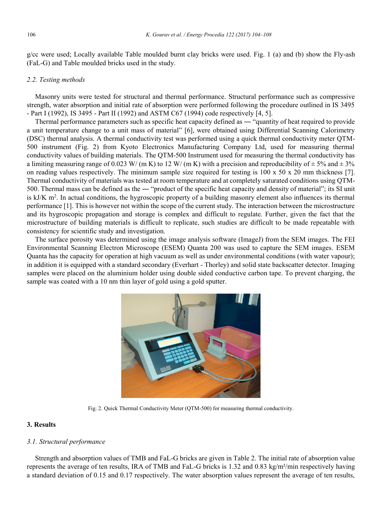g/cc were used; Locally available Table moulded burnt clay bricks were used. Fig. 1 (a) and (b) show the Fly-ash (FaL-G) and Table moulded bricks used in the study.

#### *2.2. Testing methods*

Masonry units were tested for structural and thermal performance. Structural performance such as compressive strength, water absorption and initial rate of absorption were performed following the procedure outlined in IS 3495 - Part I (1992), IS 3495 - Part II (1992) and ASTM C67 (1994) code respectively [4, 5].

Thermal performance parameters such as specific heat capacity defined as ― "quantity of heat required to provide a unit temperature change to a unit mass of material" [6], were obtained using Differential Scanning Calorimetry (DSC) thermal analysis. A thermal conductivity test was performed using a quick thermal conductivity meter QTM-500 instrument (Fig. 2) from Kyoto Electronics Manufacturing Company Ltd, used for measuring thermal conductivity values of building materials. The QTM-500 Instrument used for measuring the thermal conductivity has a limiting measuring range of 0.023 W/ (m K) to 12 W/ (m K) with a precision and reproducibility of  $\pm$  5% and  $\pm$  3% on reading values respectively. The minimum sample size required for testing is  $100 \times 50 \times 20$  mm thickness [7]. Thermal conductivity of materials was tested at room temperature and at completely saturated conditions using QTM-500. Thermal mass can be defined as the ― "product of the specific heat capacity and density of material"; its SI unit is kJ/K m<sup>2</sup>. In actual conditions, the hygroscopic property of a building masonry element also influences its thermal performance [1]. This is however not within the scope of the current study. The interaction between the microstructure and its hygroscopic propagation and storage is complex and difficult to regulate. Further, given the fact that the microstructure of building materials is difficult to replicate, such studies are difficult to be made repeatable with consistency for scientific study and investigation.

The surface porosity was determined using the image analysis software (ImageJ) from the SEM images. The FEI Environmental Scanning Electron Microscope (ESEM) Quanta 200 was used to capture the SEM images. ESEM Quanta has the capacity for operation at high vacuum as well as under environmental conditions (with water vapour); in addition it is equipped with a standard secondary (Everhart - Thorley) and solid state backscatter detector. Imaging samples were placed on the aluminium holder using double sided conductive carbon tape. To prevent charging, the sample was coated with a 10 nm thin layer of gold using a gold sputter.



Fig. 2. Quick Thermal Conductivity Meter (QTM-500) for measuring thermal conductivity.

#### **3. Results**

#### *3.1. Structural performance*

Strength and absorption values of TMB and FaL-G bricks are given in Table 2. The initial rate of absorption value represents the average of ten results, IRA of TMB and FaL-G bricks is 1.32 and 0.83 kg/m²/min respectively having a standard deviation of 0.15 and 0.17 respectively. The water absorption values represent the average of ten results,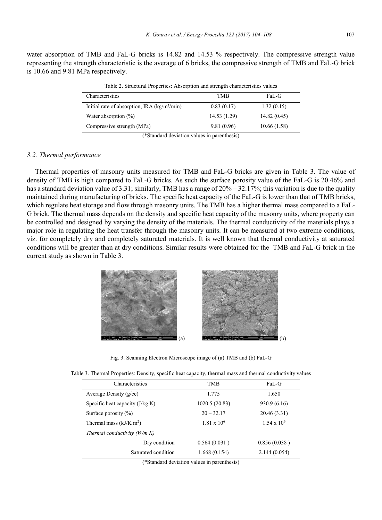water absorption of TMB and FaL-G bricks is 14.82 and 14.53 % respectively. The compressive strength value representing the strength characteristic is the average of 6 bricks, the compressive strength of TMB and FaL-G brick is 10.66 and 9.81 MPa respectively.

| Table 2. Structural Properties: Absorption and strength characteristics values                                                                                                                                                                                                        |              |             |  |  |
|---------------------------------------------------------------------------------------------------------------------------------------------------------------------------------------------------------------------------------------------------------------------------------------|--------------|-------------|--|--|
| Characteristics                                                                                                                                                                                                                                                                       | TMB          | FaL-G       |  |  |
| Initial rate of absorption, IRA $\frac{\text{kg}}{m^2}{\text{min}}$                                                                                                                                                                                                                   | 0.83(0.17)   | 1.32(0.15)  |  |  |
| Water absorption $(\%)$                                                                                                                                                                                                                                                               | 14.53 (1.29) | 14.82(0.45) |  |  |
| Compressive strength (MPa)                                                                                                                                                                                                                                                            | 9.81 (0.96)  | 10.66(1.58) |  |  |
| $(\&\,C_{i+1},\,C_{i+1},\,C_{i+1},\,C_{i+1},\,C_{i+1},\,C_{i+1},\,C_{i+1},\,C_{i+1},\,C_{i+1},\,C_{i+1},\,C_{i+1},\,C_{i+1},\,C_{i+1},\,C_{i+1},\,C_{i+1},\,C_{i+1},\,C_{i+1},\,C_{i+1},\,C_{i+1},\,C_{i+1},\,C_{i+1},\,C_{i+1},\,C_{i+1},\,C_{i+1},\,C_{i+1},\,C_{i+1},\,C_{i+1},\,$ |              |             |  |  |

(\*Standard deviation values in parenthesis)

#### *3.2. Thermal performance*

Thermal properties of masonry units measured for TMB and FaL-G bricks are given in Table 3. The value of density of TMB is high compared to FaL-G bricks. As such the surface porosity value of the FaL-G is 20.46% and has a standard deviation value of 3.31; similarly, TMB has a range of  $20\% - 32.17\%$ ; this variation is due to the quality maintained during manufacturing of bricks. The specific heat capacity of the FaL-G is lower than that of TMB bricks, which regulate heat storage and flow through masonry units. The TMB has a higher thermal mass compared to a FaL-G brick. The thermal mass depends on the density and specific heat capacity of the masonry units, where property can be controlled and designed by varying the density of the materials. The thermal conductivity of the materials plays a major role in regulating the heat transfer through the masonry units. It can be measured at two extreme conditions, viz. for completely dry and completely saturated materials. It is well known that thermal conductivity at saturated conditions will be greater than at dry conditions. Similar results were obtained for the TMB and FaL-G brick in the current study as shown in Table 3.



Fig. 3. Scanning Electron Microscope image of (a) TMB and (b) FaL-G

| Characteristics                   | TMB                  | FaL-G              |
|-----------------------------------|----------------------|--------------------|
| Average Density $(g/cc)$          | 1.775                | 1.650              |
| Specific heat capacity $(J/kg K)$ | 1020.5 (20.83)       | 930.9 (6.16)       |
| Surface porosity $(\% )$          | $20 - 32.17$         | 20.46(3.31)        |
| Thermal mass $(kJ/K \text{ m}^2)$ | $1.81 \times 10^{6}$ | $1.54 \times 10^6$ |
| Thermal conductivity $(W/m K)$    |                      |                    |
| Dry condition                     | 0.564(0.031)         | 0.856(0.038)       |
| Saturated condition               | 1.668(0.154)         | 2.144(0.054)       |

Table 3. Thermal Properties: Density, specific heat capacity, thermal mass and thermal conductivity values

(\*Standard deviation values in parenthesis)